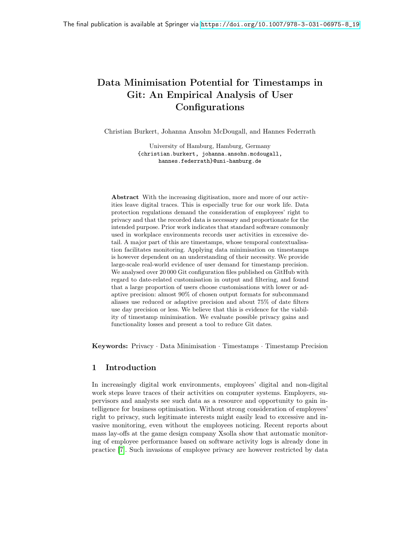# Data Minimisation Potential for Timestamps in Git: An Empirical Analysis of User Configurations

Christian Burkert, Johanna Ansohn McDougall, and Hannes Federrath

University of Hamburg, Hamburg, Germany {christian.burkert, johanna.ansohn.mcdougall, hannes.federrath}@uni-hamburg.de

Abstract With the increasing digitisation, more and more of our activities leave digital traces. This is especially true for our work life. Data protection regulations demand the consideration of employees' right to privacy and that the recorded data is necessary and proportionate for the intended purpose. Prior work indicates that standard software commonly used in workplace environments records user activities in excessive detail. A major part of this are timestamps, whose temporal contextualisation facilitates monitoring. Applying data minimisation on timestamps is however dependent on an understanding of their necessity. We provide large-scale real-world evidence of user demand for timestamp precision. We analysed over 20 000 Git configuration files published on GitHub with regard to date-related customisation in output and filtering, and found that a large proportion of users choose customisations with lower or adaptive precision: almost 90% of chosen output formats for subcommand aliases use reduced or adaptive precision and about 75% of date filters use day precision or less. We believe that this is evidence for the viability of timestamp minimisation. We evaluate possible privacy gains and functionality losses and present a tool to reduce Git dates.

Keywords: Privacy · Data Minimisation · Timestamps · Timestamp Precision

# 1 Introduction

In increasingly digital work environments, employees' digital and non-digital work steps leave traces of their activities on computer systems. Employers, supervisors and analysts see such data as a resource and opportunity to gain intelligence for business optimisation. Without strong consideration of employees' right to privacy, such legitimate interests might easily lead to excessive and invasive monitoring, even without the employees noticing. Recent reports about mass lay-offs at the game design company Xsolla show that automatic monitoring of employee performance based on software activity logs is already done in practice [\[7\]](#page-16-0). Such invasions of employee privacy are however restricted by data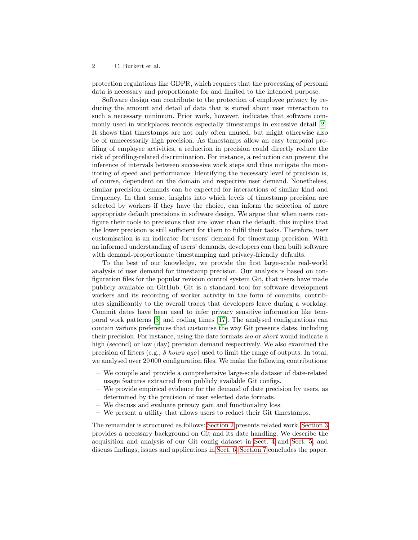protection regulations like GDPR, which requires that the processing of personal data is necessary and proportionate for and limited to the intended purpose.

Software design can contribute to the protection of employee privacy by reducing the amount and detail of data that is stored about user interaction to such a necessary minimum. Prior work, however, indicates that software commonly used in workplaces records especially timestamps in excessive detail [\[2\]](#page-16-1). It shows that timestamps are not only often unused, but might otherwise also be of unnecessarily high precision. As timestamps allow an easy temporal profiling of employee activities, a reduction in precision could directly reduce the risk of profiling-related discrimination. For instance, a reduction can prevent the inference of intervals between successive work steps and thus mitigate the monitoring of speed and performance. Identifying the necessary level of precision is, of course, dependent on the domain and respective user demand. Nonetheless, similar precision demands can be expected for interactions of similar kind and frequency. In that sense, insights into which levels of timestamp precision are selected by workers if they have the choice, can inform the selection of more appropriate default precisions in software design. We argue that when users configure their tools to precisions that are lower than the default, this implies that the lower precision is still sufficient for them to fulfil their tasks. Therefore, user customisation is an indicator for users' demand for timestamp precision. With an informed understanding of users' demands, developers can then built software with demand-proportionate timestamping and privacy-friendly defaults.

To the best of our knowledge, we provide the first large-scale real-world analysis of user demand for timestamp precision. Our analysis is based on configuration files for the popular revision control system Git, that users have made publicly available on GitHub. Git is a standard tool for software development workers and its recording of worker activity in the form of commits, contributes significantly to the overall traces that developers leave during a workday. Commit dates have been used to infer privacy sensitive information like temporal work patterns [\[3\]](#page-16-2) and coding times [\[17\]](#page-16-3). The analysed configurations can contain various preferences that customise the way Git presents dates, including their precision. For instance, using the date formats iso or short would indicate a high (second) or low (day) precision demand respectively. We also examined the precision of filters (e.g.,  $\delta$  hours ago) used to limit the range of outputs. In total, we analysed over 20 000 configuration files. We make the following contributions:

- We compile and provide a comprehensive large-scale dataset of date-related usage features extracted from publicly available Git configs.
- We provide empirical evidence for the demand of date precision by users, as determined by the precision of user selected date formats.
- We discuss and evaluate privacy gain and functionality loss.
- We present a utility that allows users to redact their Git timestamps.

The remainder is structured as follows: [Section 2](#page-2-0) presents related work. [Section 3](#page-2-1) provides a necessary background on Git and its date handling. We describe the acquisition and analysis of our Git config dataset in [Sect. 4](#page-4-0) and [Sect. 5,](#page-7-0) and discuss findings, issues and applications in [Sect. 6.](#page-12-0) [Section 7](#page-15-0) concludes the paper.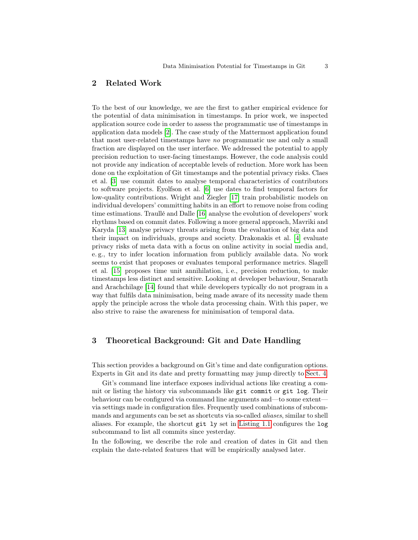# <span id="page-2-0"></span>2 Related Work

To the best of our knowledge, we are the first to gather empirical evidence for the potential of data minimisation in timestamps. In prior work, we inspected application source code in order to assess the programmatic use of timestamps in application data models [\[2\]](#page-16-1). The case study of the Mattermost application found that most user-related timestamps have no programmatic use and only a small fraction are displayed on the user interface. We addressed the potential to apply precision reduction to user-facing timestamps. However, the code analysis could not provide any indication of acceptable levels of reduction. More work has been done on the exploitation of Git timestamps and the potential privacy risks. Claes et al. [\[3\]](#page-16-2) use commit dates to analyse temporal characteristics of contributors to software projects. Eyolfson et al. [\[6\]](#page-16-4) use dates to find temporal factors for low-quality contributions. Wright and Ziegler [\[17\]](#page-16-3) train probabilistic models on individual developers' committing habits in an effort to remove noise from coding time estimations. Traullé and Dalle [\[16\]](#page-16-5) analyse the evolution of developers' work rhythms based on commit dates. Following a more general approach, Mavriki and Karyda [\[13\]](#page-16-6) analyse privacy threats arising from the evaluation of big data and their impact on individuals, groups and society. Drakonakis et al. [\[4\]](#page-16-7) evaluate privacy risks of meta data with a focus on online activity in social media and, e. g., try to infer location information from publicly available data. No work seems to exist that proposes or evaluates temporal performance metrics. Slagell et al. [\[15\]](#page-16-8) proposes time unit annihilation, i. e., precision reduction, to make timestamps less distinct and sensitive. Looking at developer behaviour, Senarath and Arachchilage [\[14\]](#page-16-9) found that while developers typically do not program in a way that fulfils data minimisation, being made aware of its necessity made them apply the principle across the whole data processing chain. With this paper, we also strive to raise the awareness for minimisation of temporal data.

# <span id="page-2-1"></span>3 Theoretical Background: Git and Date Handling

This section provides a background on Git's time and date configuration options. Experts in Git and its date and pretty formatting may jump directly to [Sect. 4.](#page-4-0)

Git's command line interface exposes individual actions like creating a commit or listing the history via subcommands like git commit or git log. Their behaviour can be configured via command line arguments and—to some extent via settings made in configuration files. Frequently used combinations of subcommands and arguments can be set as shortcuts via so-called aliases, similar to shell aliases. For example, the shortcut git ly set in [Listing 1.1](#page-3-0) configures the log subcommand to list all commits since yesterday.

In the following, we describe the role and creation of dates in Git and then explain the date-related features that will be empirically analysed later.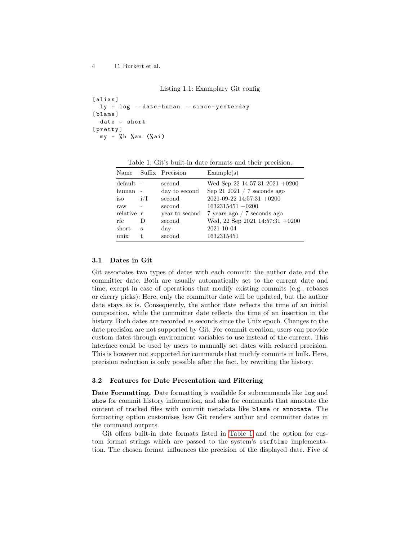Listing 1.1: Examplary Git config

```
[alias]
  ly = log -<i>d</i>ate = human -<i>s</i>ince = <i>y</i>esterday[blame]
  date = short
[pretty]
  my = %h %an (%ai)
```
Table 1: Git's built-in date formats and their precision.

<span id="page-3-1"></span>

| Name       |     | Suffix Precision | Example(s)                        |
|------------|-----|------------------|-----------------------------------|
| default -  |     | second           | Wed Sep 22 14:57:31 2021 $+0200$  |
| human      |     | day to second    | Sep 21 2021 / $7$ seconds ago     |
| iso        | i/I | second           | $2021 - 09 - 22$ 14:57:31 $+0200$ |
| raw        |     | second           | $1632315451 + 0200$               |
| relative r |     | year to second   | 7 years ago / 7 seconds ago       |
| rfc        |     | second           | Wed, 22 Sep 2021 14:57:31 +0200   |
| short      | S   | $\rm{day}$       | 2021-10-04                        |
| unix       | t.  | second           | 1632315451                        |

#### 3.1 Dates in Git

Git associates two types of dates with each commit: the author date and the committer date. Both are usually automatically set to the current date and time, except in case of operations that modify existing commits (e.g., rebases or cherry picks): Here, only the committer date will be updated, but the author date stays as is. Consequently, the author date reflects the time of an initial composition, while the committer date reflects the time of an insertion in the history. Both dates are recorded as seconds since the Unix epoch. Changes to the date precision are not supported by Git. For commit creation, users can provide custom dates through environment variables to use instead of the current. This interface could be used by users to manually set dates with reduced precision. This is however not supported for commands that modify commits in bulk. Here, precision reduction is only possible after the fact, by rewriting the history.

#### 3.2 Features for Date Presentation and Filtering

<span id="page-3-2"></span>Date Formatting. Date formatting is available for subcommands like log and show for commit history information, and also for commands that annotate the content of tracked files with commit metadata like blame or annotate. The formatting option customises how Git renders author and committer dates in the command outputs.

Git offers built-in date formats listed in [Table 1](#page-3-1) and the option for custom format strings which are passed to the system's strftime implementation. The chosen format influences the precision of the displayed date. Five of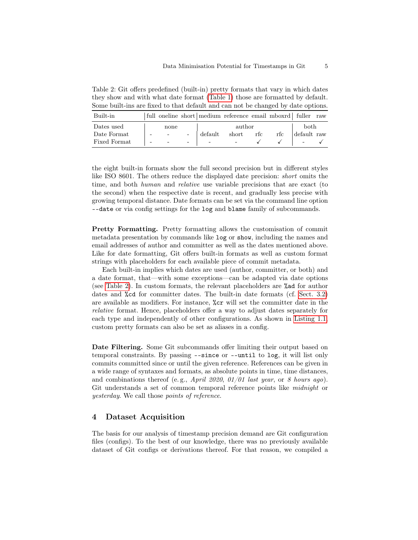<span id="page-4-1"></span>Table 2: Git offers predefined (built-in) pretty formats that vary in which dates they show and with what date format [\(Table 1\)](#page-3-1) those are formatted by default. Some built-ins are fixed to that default and can not be changed by date options.

| Built-in                                  |                          |             | full oneline short medium reference email mboxrd fuller raw                                 |                                         |                     |  |
|-------------------------------------------|--------------------------|-------------|---------------------------------------------------------------------------------------------|-----------------------------------------|---------------------|--|
| Dates used<br>Date Format<br>Fixed Format | none<br>and the state of | $-$ default | $\operatorname{author}$<br>short rfc rfc<br>المناسب والمستنبذ والمستنبذ والمستنبذ والمستنبذ | $\checkmark$ $\checkmark$ $ \checkmark$ | both<br>default raw |  |

the eight built-in formats show the full second precision but in different styles like ISO 8601. The others reduce the displayed date precision: short omits the time, and both *human* and *relative* use variable precisions that are exact (to the second) when the respective date is recent, and gradually less precise with growing temporal distance. Date formats can be set via the command line option --date or via config settings for the log and blame family of subcommands.

<span id="page-4-2"></span>Pretty Formatting. Pretty formatting allows the customisation of commit metadata presentation by commands like log or show, including the names and email addresses of author and committer as well as the dates mentioned above. Like for date formatting, Git offers built-in formats as well as custom format strings with placeholders for each available piece of commit metadata.

Each built-in implies which dates are used (author, committer, or both) and a date format, that—with some exceptions—can be adapted via date options (see [Table 2\)](#page-4-1). In custom formats, the relevant placeholders are %ad for author dates and %cd for committer dates. The built-in date formats (cf. [Sect. 3.2\)](#page-3-2) are available as modifiers. For instance, %cr will set the committer date in the relative format. Hence, placeholders offer a way to adjust dates separately for each type and independently of other configurations. As shown in [Listing 1.1,](#page-3-0) custom pretty formats can also be set as aliases in a config.

Date Filtering. Some Git subcommands offer limiting their output based on temporal constraints. By passing --since or --until to log, it will list only commits committed since or until the given reference. References can be given in a wide range of syntaxes and formats, as absolute points in time, time distances, and combinations thereof (e.g., April 2020,  $01/01$  last year, or 8 hours ago). Git understands a set of common temporal reference points like midnight or yesterday. We call those points of reference.

# <span id="page-4-0"></span>4 Dataset Acquisition

The basis for our analysis of timestamp precision demand are Git configuration files (configs). To the best of our knowledge, there was no previously available dataset of Git configs or derivations thereof. For that reason, we compiled a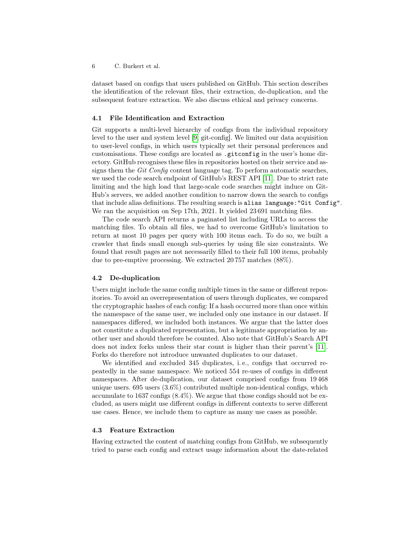dataset based on configs that users published on GitHub. This section describes the identification of the relevant files, their extraction, de-duplication, and the subsequent feature extraction. We also discuss ethical and privacy concerns.

#### 4.1 File Identification and Extraction

Git supports a multi-level hierarchy of configs from the individual repository level to the user and system level [\[9,](#page-16-10) git-config]. We limited our data acquisition to user-level configs, in which users typically set their personal preferences and customisations. These configs are located as .gitconfig in the user's home directory. GitHub recognises these files in repositories hosted on their service and assigns them the  $Git$  Config content language tag. To perform automatic searches, we used the code search endpoint of GitHub's REST API [\[11\]](#page-16-11). Due to strict rate limiting and the high load that large-scale code searches might induce on Git-Hub's servers, we added another condition to narrow down the search to configs that include alias definitions. The resulting search is alias language:"Git Config". We ran the acquisition on Sep 17th, 2021. It yielded 23691 matching files.

The code search API returns a paginated list including URLs to access the matching files. To obtain all files, we had to overcome GitHub's limitation to return at most 10 pages per query with 100 items each. To do so, we built a crawler that finds small enough sub-queries by using file size constraints. We found that result pages are not necessarily filled to their full 100 items, probably due to pre-emptive processing. We extracted 20 757 matches (88%).

## 4.2 De-duplication

Users might include the same config multiple times in the same or different repositories. To avoid an overrepresentation of users through duplicates, we compared the cryptographic hashes of each config: If a hash occurred more than once within the namespace of the same user, we included only one instance in our dataset. If namespaces differed, we included both instances. We argue that the latter does not constitute a duplicated representation, but a legitimate appropriation by another user and should therefore be counted. Also note that GitHub's Search API does not index forks unless their star count is higher than their parent's [\[11\]](#page-16-11). Forks do therefore not introduce unwanted duplicates to our dataset.

We identified and excluded 345 duplicates, i.e., configs that occurred repeatedly in the same namespace. We noticed 554 re-uses of configs in different namespaces. After de-duplication, our dataset comprised configs from 19 468 unique users. 695 users (3.6%) contributed multiple non-identical configs, which accumulate to 1637 configs (8.4%). We argue that those configs should not be excluded, as users might use different configs in different contexts to serve different use cases. Hence, we include them to capture as many use cases as possible.

## 4.3 Feature Extraction

Having extracted the content of matching configs from GitHub, we subsequently tried to parse each config and extract usage information about the date-related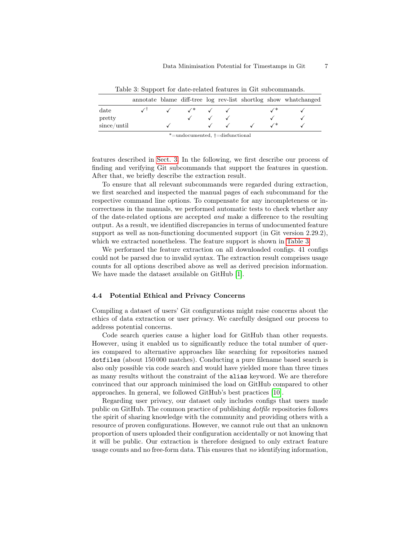<span id="page-6-0"></span>

|              |  |                 |  |  | annotate blame diff-tree log rev-list shortlog show whatchanged |
|--------------|--|-----------------|--|--|-----------------------------------------------------------------|
| date         |  | $\mathcal{N}^*$ |  |  |                                                                 |
| pretty       |  |                 |  |  |                                                                 |
| since /until |  |                 |  |  |                                                                 |
|              |  |                 |  |  |                                                                 |

Table 3: Support for date-related features in Git subcommands.

\*=undocumented, †=disfunctional

features described in [Sect. 3.](#page-2-1) In the following, we first describe our process of finding and verifying Git subcommands that support the features in question. After that, we briefly describe the extraction result.

To ensure that all relevant subcommands were regarded during extraction, we first searched and inspected the manual pages of each subcommand for the respective command line options. To compensate for any incompleteness or incorrectness in the manuals, we performed automatic tests to check whether any of the date-related options are accepted and make a difference to the resulting output. As a result, we identified discrepancies in terms of undocumented feature support as well as non-functioning documented support (in Git version 2.29.2), which we extracted nonetheless. The feature support is shown in [Table 3.](#page-6-0)

We performed the feature extraction on all downloaded configs. 41 configs could not be parsed due to invalid syntax. The extraction result comprises usage counts for all options described above as well as derived precision information. We have made the dataset available on GitHub [\[1\]](#page-16-12).

## 4.4 Potential Ethical and Privacy Concerns

Compiling a dataset of users' Git configurations might raise concerns about the ethics of data extraction or user privacy. We carefully designed our process to address potential concerns.

Code search queries cause a higher load for GitHub than other requests. However, using it enabled us to significantly reduce the total number of queries compared to alternative approaches like searching for repositories named dotfiles (about 150 000 matches). Conducting a pure filename based search is also only possible via code search and would have yielded more than three times as many results without the constraint of the alias keyword. We are therefore convinced that our approach minimised the load on GitHub compared to other approaches. In general, we followed GitHub's best practices [\[10\]](#page-16-13).

Regarding user privacy, our dataset only includes configs that users made public on GitHub. The common practice of publishing dotfile repositories follows the spirit of sharing knowledge with the community and providing others with a resource of proven configurations. However, we cannot rule out that an unknown proportion of users uploaded their configuration accidentally or not knowing that it will be public. Our extraction is therefore designed to only extract feature usage counts and no free-form data. This ensures that no identifying information,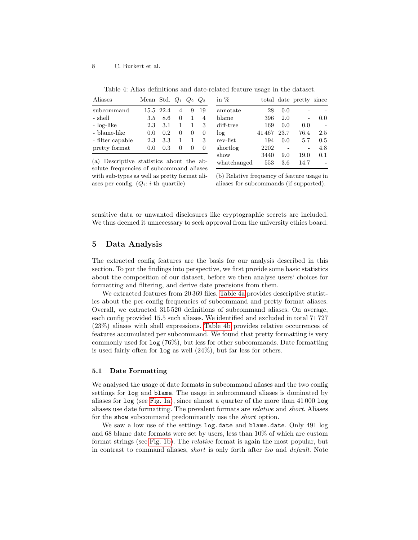| Aliases          | Mean Std. $Q_1$ $Q_2$ $Q_3$ |           |          |          |                | in $%$           |            |     | total date pretty since |  |
|------------------|-----------------------------|-----------|----------|----------|----------------|------------------|------------|-----|-------------------------|--|
| subcommand       |                             | 15.5 22.4 | 4        | 9        | -19            | annotate         | 28         | 0.0 |                         |  |
| - shell          | 3.5                         | 8.6       | $\Omega$ |          | $\overline{4}$ | blame            | 396        | 2.0 | ۰                       |  |
| - log-like       | 2.3                         | 3.1       |          |          | 3              | diff-tree        | 169        | 0.0 | 0.0                     |  |
| - blame-like     | 0.0                         | 0.2       | $\theta$ | $\theta$ | $\theta$       | log <sub>1</sub> | 41467 23.7 |     | 76.4                    |  |
| - filter capable | 2.3                         | 3.3       |          |          | 3              | rev-list         | 194        | 0.0 | 5.7                     |  |
| pretty format    | $0.0^{\circ}$               | 0.3       | $\theta$ | $\theta$ | $\theta$       | shortlog         | 2202       |     |                         |  |
|                  |                             |           |          |          |                | show             | 3440       | 9.0 | 19.0                    |  |

<span id="page-7-1"></span>Table 4: Alias definitions and date-related feature usage in the dataset.

(a) Descriptive statistics about the absolute frequencies of subcommand aliases with sub-types as well as pretty format aliases per config.  $(Q_i: i\text{-th quartile})$ 

(b) Relative frequency of feature usage in aliases for subcommands (if supported).

whatchanged 553 3.6 14.7 -

sensitive data or unwanted disclosures like cryptographic secrets are included. We thus deemed it unnecessary to seek approval from the university ethics board.

# <span id="page-7-0"></span>5 Data Analysis

The extracted config features are the basis for our analysis described in this section. To put the findings into perspective, we first provide some basic statistics about the composition of our dataset, before we then analyse users' choices for formatting and filtering, and derive date precisions from them.

We extracted features from 20 369 files. [Table 4a](#page-7-1) provides descriptive statistics about the per-config frequencies of subcommand and pretty format aliases. Overall, we extracted 315 520 definitions of subcommand aliases. On average, each config provided 15.5 such aliases. We identified and excluded in total 71 727 (23%) aliases with shell expressions. [Table 4b](#page-7-1) provides relative occurrences of features accumulated per subcommand. We found that pretty formatting is very commonly used for log (76%), but less for other subcommands. Date formatting is used fairly often for log as well (24%), but far less for others.

## 5.1 Date Formatting

We analysed the usage of date formats in subcommand aliases and the two config settings for log and blame. The usage in subcommand aliases is dominated by aliases for log (see [Fig. 1a\)](#page-8-0), since almost a quarter of the more than 41 000 log aliases use date formatting. The prevalent formats are relative and short. Aliases for the show subcommand predominantly use the *short* option.

We saw a low use of the settings log.date and blame.date. Only 491 log and 68 blame date formats were set by users, less than 10% of which are custom format strings (see [Fig. 1b\)](#page-8-0). The relative format is again the most popular, but in contrast to command aliases, short is only forth after iso and default. Note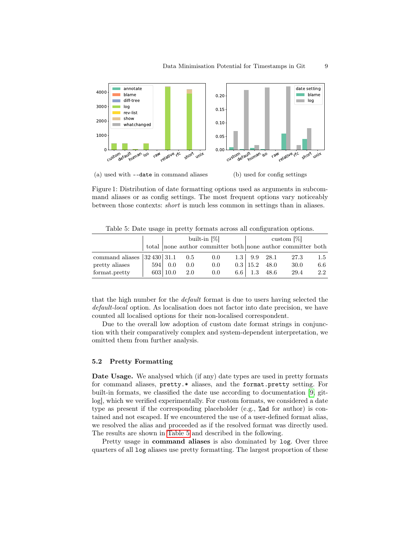<span id="page-8-0"></span>

(a) used with --date in command aliases

(b) used for config settings

Figure 1: Distribution of date formatting options used as arguments in subcommand aliases or as config settings. The most frequent options vary noticeably between those contexts: short is much less common in settings than in aliases.

<span id="page-8-1"></span>Table 5: Date usage in pretty formats across all configuration options.

|                                 | built-in $[\%]$ |     |     |  | custom $[\%]$ |                            |                                                             |     |  |
|---------------------------------|-----------------|-----|-----|--|---------------|----------------------------|-------------------------------------------------------------|-----|--|
|                                 |                 |     |     |  |               |                            | total none author committer both none author committer both |     |  |
| command aliases $ 32\,430 31.1$ |                 | 0.5 | 0.0 |  |               | $1.3$   9.9 28.1           | 27.3                                                        | 1.5 |  |
| pretty aliases                  | $594$ 0.0       | 0.0 | 0.0 |  |               | $0.3 \mid 15.2 \quad 48.0$ | 30.0                                                        | 6.6 |  |
| format.pretty                   | 603 10.0        | 2.0 | 0.0 |  |               | $6.6$ 1.3 48.6             | 29.4                                                        | 2.2 |  |

that the high number for the default format is due to users having selected the default-local option. As localisation does not factor into date precision, we have counted all localised options for their non-localised correspondent.

Due to the overall low adoption of custom date format strings in conjunction with their comparatively complex and system-dependent interpretation, we omitted them from further analysis.

# 5.2 Pretty Formatting

Date Usage. We analysed which (if any) date types are used in pretty formats for command aliases, pretty.\* aliases, and the format.pretty setting. For built-in formats, we classified the date use according to documentation [\[9,](#page-16-10) gitlog], which we verified experimentally. For custom formats, we considered a date type as present if the corresponding placeholder (e.g., %ad for author) is contained and not escaped. If we encountered the use of a user-defined format alias, we resolved the alias and proceeded as if the resolved format was directly used. The results are shown in [Table 5](#page-8-1) and described in the following.

Pretty usage in command aliases is also dominated by log. Over three quarters of all log aliases use pretty formatting. The largest proportion of these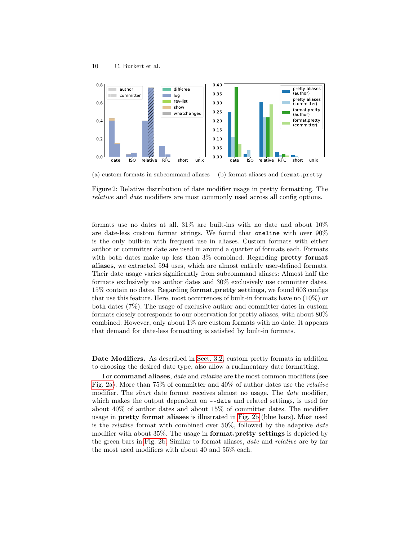<span id="page-9-0"></span>

(a) custom formats in subcommand aliases (b) format aliases and format.pretty



formats use no dates at all. 31% are built-ins with no date and about 10% are date-less custom format strings. We found that oneline with over 90% is the only built-in with frequent use in aliases. Custom formats with either author or committer date are used in around a quarter of formats each. Formats with both dates make up less than 3% combined. Regarding pretty format aliases, we extracted 594 uses, which are almost entirely user-defined formats. Their date usage varies significantly from subcommand aliases: Almost half the formats exclusively use author dates and 30% exclusively use committer dates. 15% contain no dates. Regarding format.pretty settings, we found 603 configs that use this feature. Here, most occurrences of built-in formats have no (10%) or both dates (7%). The usage of exclusive author and committer dates in custom formats closely corresponds to our observation for pretty aliases, with about 80% combined. However, only about  $1\%$  are custom formats with no date. It appears that demand for date-less formatting is satisfied by built-in formats.

Date Modifiers. As described in [Sect. 3.2,](#page-4-2) custom pretty formats in addition to choosing the desired date type, also allow a rudimentary date formatting.

For **command aliases**, *date* and *relative* are the most common modifiers (see [Fig. 2a\)](#page-9-0). More than  $75\%$  of committer and  $40\%$  of author dates use the *relative* modifier. The *short* date format receives almost no usage. The *date* modifier, which makes the output dependent on  $-$ -date and related settings, is used for about 40% of author dates and about 15% of committer dates. The modifier usage in pretty format aliases is illustrated in [Fig. 2b](#page-9-0) (blue bars). Most used is the *relative* format with combined over  $50\%$ , followed by the adaptive *date* modifier with about 35%. The usage in **format.pretty settings** is depicted by the green bars in [Fig. 2b.](#page-9-0) Similar to format aliases, date and relative are by far the most used modifiers with about 40 and 55% each.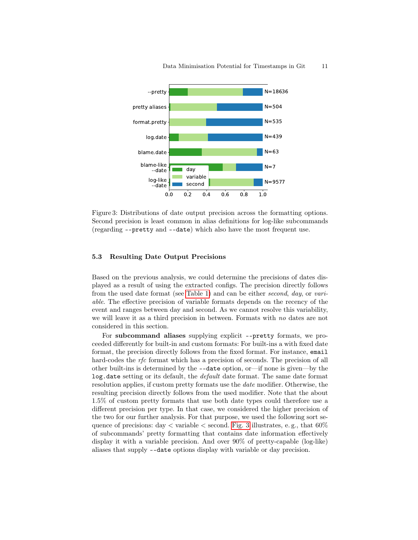<span id="page-10-0"></span>

Figure 3: Distributions of date output precision across the formatting options. Second precision is least common in alias definitions for log-like subcommands (regarding --pretty and --date) which also have the most frequent use.

#### 5.3 Resulting Date Output Precisions

Based on the previous analysis, we could determine the precisions of dates displayed as a result of using the extracted configs. The precision directly follows from the used date format (see [Table 1\)](#page-3-1) and can be either second, day, or variable. The effective precision of variable formats depends on the recency of the event and ranges between day and second. As we cannot resolve this variability, we will leave it as a third precision in between. Formats with no dates are not considered in this section.

For subcommand aliases supplying explicit --pretty formats, we proceeded differently for built-in and custom formats: For built-ins a with fixed date format, the precision directly follows from the fixed format. For instance, email hard-codes the rfc format which has a precision of seconds. The precision of all other built-ins is determined by the --date option, or—if none is given—by the log.date setting or its default, the *default* date format. The same date format resolution applies, if custom pretty formats use the date modifier. Otherwise, the resulting precision directly follows from the used modifier. Note that the about 1.5% of custom pretty formats that use both date types could therefore use a different precision per type. In that case, we considered the higher precision of the two for our further analysis. For that purpose, we used the following sort sequence of precisions: day  $\langle$  variable  $\langle$  second. [Fig. 3](#page-10-0) illustrates, e.g., that 60% of subcommands' pretty formatting that contains date information effectively display it with a variable precision. And over 90% of pretty-capable (log-like) aliases that supply --date options display with variable or day precision.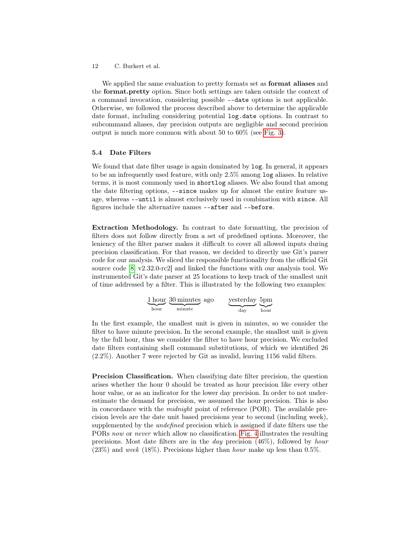We applied the same evaluation to pretty formats set as **format aliases** and the format.pretty option. Since both settings are taken outside the context of a command invocation, considering possible --date options is not applicable. Otherwise, we followed the process described above to determine the applicable date format, including considering potential log.date options. In contrast to subcommand aliases, day precision outputs are negligible and second precision output is much more common with about 50 to 60% (see [Fig. 3\)](#page-10-0).

## 5.4 Date Filters

We found that date filter usage is again dominated by  $log$ . In general, it appears to be an infrequently used feature, with only 2.5% among log aliases. In relative terms, it is most commonly used in shortlog aliases. We also found that among the date filtering options, --since makes up for almost the entire feature usage, whereas --until is almost exclusively used in combination with since. All figures include the alternative names --after and --before.

Extraction Methodology. In contrast to date formatting, the precision of filters does not follow directly from a set of predefined options. Moreover, the leniency of the filter parser makes it difficult to cover all allowed inputs during precision classification. For that reason, we decided to directly use Git's parser code for our analysis. We sliced the responsible functionality from the official Git source code [\[8,](#page-16-14) v2.32.0-rc2] and linked the functions with our analysis tool. We instrumented Git's date parser at 25 locations to keep track of the smallest unit of time addressed by a filter. This is illustrated by the following two examples:

|      | 1 hour 30 minutes ago | yesterday 5pm |      |
|------|-----------------------|---------------|------|
| hour | minute                |               |      |
|      |                       | dav           | hour |

In the first example, the smallest unit is given in minutes, so we consider the filter to have minute precision. In the second example, the smallest unit is given by the full hour, thus we consider the filter to have hour precision. We excluded date filters containing shell command substitutions, of which we identified 26 (2.2%). Another 7 were rejected by Git as invalid, leaving 1156 valid filters.

Precision Classification. When classifying date filter precision, the question arises whether the hour 0 should be treated as hour precision like every other hour value, or as an indicator for the lower day precision. In order to not underestimate the demand for precision, we assumed the hour precision. This is also in concordance with the midnight point of reference (POR). The available precision levels are the date unit based precisions year to second (including week), supplemented by the *undefined* precision which is assigned if date filters use the PORs now or never which allow no classification. [Fig. 4](#page-12-1) illustrates the resulting precisions. Most date filters are in the day precision (46%), followed by hour  $(23\%)$  and week  $(18\%)$ . Precisions higher than *hour* make up less than 0.5%.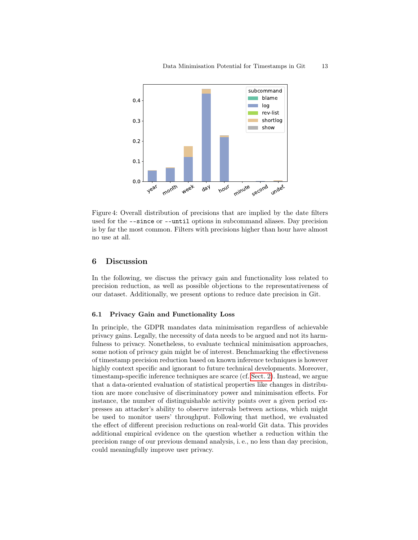<span id="page-12-1"></span>

Figure 4: Overall distribution of precisions that are implied by the date filters used for the --since or --until options in subcommand aliases. Day precision is by far the most common. Filters with precisions higher than hour have almost no use at all.

# <span id="page-12-0"></span>6 Discussion

In the following, we discuss the privacy gain and functionality loss related to precision reduction, as well as possible objections to the representativeness of our dataset. Additionally, we present options to reduce date precision in Git.

#### <span id="page-12-2"></span>6.1 Privacy Gain and Functionality Loss

In principle, the GDPR mandates data minimisation regardless of achievable privacy gains. Legally, the necessity of data needs to be argued and not its harmfulness to privacy. Nonetheless, to evaluate technical minimisation approaches, some notion of privacy gain might be of interest. Benchmarking the effectiveness of timestamp precision reduction based on known inference techniques is however highly context specific and ignorant to future technical developments. Moreover, timestamp-specific inference techniques are scarce (cf. [Sect. 2\)](#page-2-0). Instead, we argue that a data-oriented evaluation of statistical properties like changes in distribution are more conclusive of discriminatory power and minimisation effects. For instance, the number of distinguishable activity points over a given period expresses an attacker's ability to observe intervals between actions, which might be used to monitor users' throughput. Following that method, we evaluated the effect of different precision reductions on real-world Git data. This provides additional empirical evidence on the question whether a reduction within the precision range of our previous demand analysis, i. e., no less than day precision, could meaningfully improve user privacy.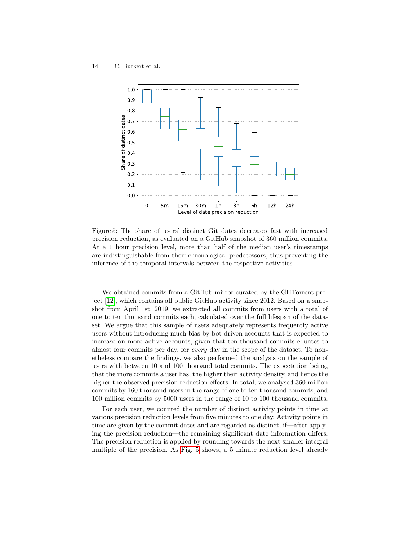<span id="page-13-0"></span>

Figure 5: The share of users' distinct Git dates decreases fast with increased precision reduction, as evaluated on a GitHub snapshot of 360 million commits. At a 1 hour precision level, more than half of the median user's timestamps are indistinguishable from their chronological predecessors, thus preventing the inference of the temporal intervals between the respective activities.

We obtained commits from a GitHub mirror curated by the GHTorrent project [\[12\]](#page-16-15), which contains all public GitHub activity since 2012. Based on a snapshot from April 1st, 2019, we extracted all commits from users with a total of one to ten thousand commits each, calculated over the full lifespan of the dataset. We argue that this sample of users adequately represents frequently active users without introducing much bias by bot-driven accounts that is expected to increase on more active accounts, given that ten thousand commits equates to almost four commits per day, for every day in the scope of the dataset. To nonetheless compare the findings, we also performed the analysis on the sample of users with between 10 and 100 thousand total commits. The expectation being, that the more commits a user has, the higher their activity density, and hence the higher the observed precision reduction effects. In total, we analysed 360 million commits by 160 thousand users in the range of one to ten thousand commits, and 100 million commits by 5000 users in the range of 10 to 100 thousand commits.

For each user, we counted the number of distinct activity points in time at various precision reduction levels from five minutes to one day. Activity points in time are given by the commit dates and are regarded as distinct, if—after applying the precision reduction—the remaining significant date information differs. The precision reduction is applied by rounding towards the next smaller integral multiple of the precision. As [Fig. 5](#page-13-0) shows, a 5 minute reduction level already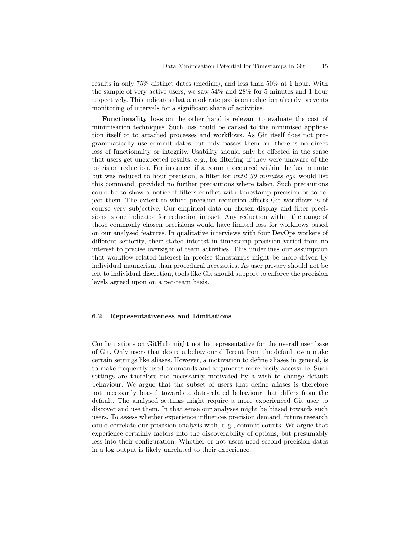results in only 75% distinct dates (median), and less than 50% at 1 hour. With the sample of very active users, we saw 54% and 28% for 5 minutes and 1 hour respectively. This indicates that a moderate precision reduction already prevents monitoring of intervals for a significant share of activities.

Functionality loss on the other hand is relevant to evaluate the cost of minimisation techniques. Such loss could be caused to the minimised application itself or to attached processes and workflows. As Git itself does not programmatically use commit dates but only passes them on, there is no direct loss of functionality or integrity. Usability should only be effected in the sense that users get unexpected results, e. g., for filtering, if they were unaware of the precision reduction. For instance, if a commit occurred within the last minute but was reduced to hour precision, a filter for until 30 minutes ago would list this command, provided no further precautions where taken. Such precautions could be to show a notice if filters conflict with timestamp precision or to reject them. The extent to which precision reduction affects Git workflows is of course very subjective. Our empirical data on chosen display and filter precisions is one indicator for reduction impact. Any reduction within the range of those commonly chosen precisions would have limited loss for workflows based on our analysed features. In qualitative interviews with four DevOps workers of different seniority, their stated interest in timestamp precision varied from no interest to precise oversight of team activities. This underlines our assumption that workflow-related interest in precise timestamps might be more driven by individual mannerism than procedural necessities. As user privacy should not be left to individual discretion, tools like Git should support to enforce the precision levels agreed upon on a per-team basis.

#### 6.2 Representativeness and Limitations

Configurations on GitHub might not be representative for the overall user base of Git. Only users that desire a behaviour different from the default even make certain settings like aliases. However, a motivation to define aliases in general, is to make frequently used commands and arguments more easily accessible. Such settings are therefore not necessarily motivated by a wish to change default behaviour. We argue that the subset of users that define aliases is therefore not necessarily biased towards a date-related behaviour that differs from the default. The analysed settings might require a more experienced Git user to discover and use them. In that sense our analyses might be biased towards such users. To assess whether experience influences precision demand, future research could correlate our precision analysis with, e. g., commit counts. We argue that experience certainly factors into the discoverability of options, but presumably less into their configuration. Whether or not users need second-precision dates in a log output is likely unrelated to their experience.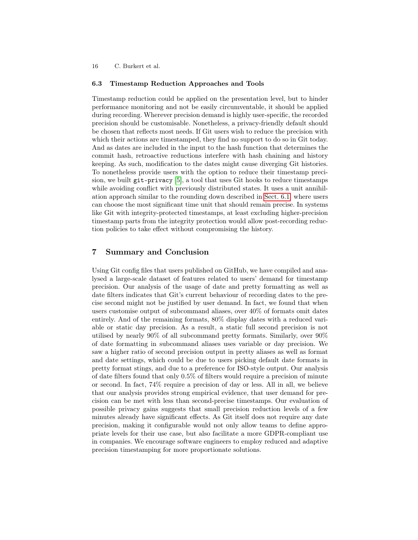#### 6.3 Timestamp Reduction Approaches and Tools

Timestamp reduction could be applied on the presentation level, but to hinder performance monitoring and not be easily circumventable, it should be applied during recording. Wherever precision demand is highly user-specific, the recorded precision should be customisable. Nonetheless, a privacy-friendly default should be chosen that reflects most needs. If Git users wish to reduce the precision with which their actions are timestamped, they find no support to do so in Git today. And as dates are included in the input to the hash function that determines the commit hash, retroactive reductions interfere with hash chaining and history keeping. As such, modification to the dates might cause diverging Git histories. To nonetheless provide users with the option to reduce their timestamp precision, we built git-privacy [\[5\]](#page-16-16), a tool that uses Git hooks to reduce timestamps while avoiding conflict with previously distributed states. It uses a unit annihilation approach similar to the rounding down described in [Sect. 6.1,](#page-12-2) where users can choose the most significant time unit that should remain precise. In systems like Git with integrity-protected timestamps, at least excluding higher-precision timestamp parts from the integrity protection would allow post-recording reduction policies to take effect without compromising the history.

# <span id="page-15-0"></span>7 Summary and Conclusion

Using Git config files that users published on GitHub, we have compiled and analysed a large-scale dataset of features related to users' demand for timestamp precision. Our analysis of the usage of date and pretty formatting as well as date filters indicates that Git's current behaviour of recording dates to the precise second might not be justified by user demand. In fact, we found that when users customise output of subcommand aliases, over 40% of formats omit dates entirely. And of the remaining formats, 80% display dates with a reduced variable or static day precision. As a result, a static full second precision is not utilised by nearly 90% of all subcommand pretty formats. Similarly, over 90% of date formatting in subcommand aliases uses variable or day precision. We saw a higher ratio of second precision output in pretty aliases as well as format and date settings, which could be due to users picking default date formats in pretty format stings, and due to a preference for ISO-style output. Our analysis of date filters found that only 0.5% of filters would require a precision of minute or second. In fact, 74% require a precision of day or less. All in all, we believe that our analysis provides strong empirical evidence, that user demand for precision can be met with less than second-precise timestamps. Our evaluation of possible privacy gains suggests that small precision reduction levels of a few minutes already have significant effects. As Git itself does not require any date precision, making it configurable would not only allow teams to define appropriate levels for their use case, but also facilitate a more GDPR-compliant use in companies. We encourage software engineers to employ reduced and adaptive precision timestamping for more proportionate solutions.